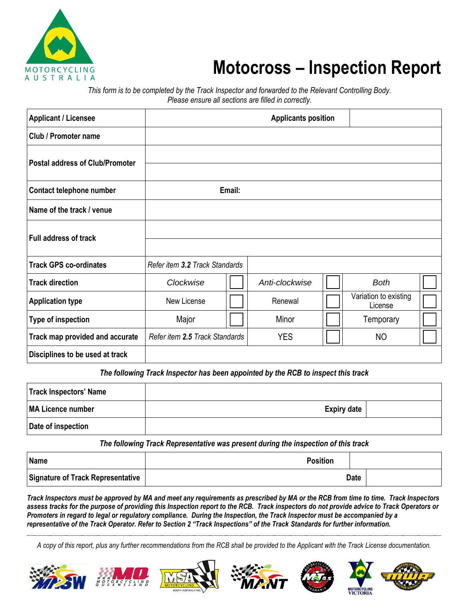

## **Motocross – Inspection Report**

*This form is to be completed by the Track Inspector and forwarded to the Relevant Controlling Body. Please ensure all sections are filled in correctly.*

| <b>Applicant / Licensee</b>            | <b>Applicants position</b>     |        |                |  |                                  |  |
|----------------------------------------|--------------------------------|--------|----------------|--|----------------------------------|--|
| Club / Promoter name                   |                                |        |                |  |                                  |  |
| <b>Postal address of Club/Promoter</b> |                                |        |                |  |                                  |  |
| Contact telephone number               |                                | Email: |                |  |                                  |  |
| Name of the track / venue              |                                |        |                |  |                                  |  |
| <b>Full address of track</b>           |                                |        |                |  |                                  |  |
| <b>Track GPS co-ordinates</b>          | Refer item 3.2 Track Standards |        |                |  |                                  |  |
| <b>Track direction</b>                 | Clockwise                      |        | Anti-clockwise |  | <b>Both</b>                      |  |
| <b>Application type</b>                | New License                    |        | Renewal        |  | Variation to existing<br>License |  |
| Type of inspection                     | Major                          |        | Minor          |  | Temporary                        |  |
| Track map provided and accurate        | Refer item 2.5 Track Standards |        | <b>YES</b>     |  | <b>NO</b>                        |  |
| Disciplines to be used at track        |                                |        |                |  |                                  |  |

The following Track Inspector has been appointed by the RCB to inspect this track

| Track Inspectors' Name |                    |  |
|------------------------|--------------------|--|
| MA Licence number      | <b>Expiry date</b> |  |
| Date of inspection     |                    |  |

*The following Track Representative was present during the inspection of this track*

| Name                                     | <b>Position</b> |             |
|------------------------------------------|-----------------|-------------|
| <b>Signature of Track Representative</b> |                 | <b>Date</b> |

*Track Inspectors must be approved by MA and meet any requirements as prescribed by MA or the RCB from time to time. Track Inspectors assess tracks for the purpose of providing this Inspection report to the RCB. Track inspectors do not provide advice to Track Operators or Promoters in regard to legal or regulatory compliance. During the Inspection, the Track Inspector must be accompanied by a representative of the Track Operator. Refer to Section 2 "Track Inspections" of the Track Standards for further information.*

*A copy of this report, plus any further recommendations from the RCB shall be provided to the Applicant with the Track License documentation.*













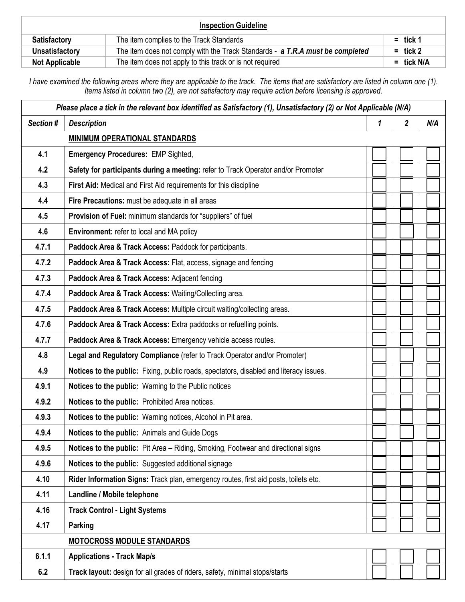| <b>Inspection Guideline</b> |                                                                               |              |  |
|-----------------------------|-------------------------------------------------------------------------------|--------------|--|
| <b>Satisfactory</b>         | The item complies to the Track Standards                                      | $=$ tick 1   |  |
| Unsatisfactory              | The item does not comply with the Track Standards - a T.R.A must be completed | $=$ tick 2   |  |
| <b>Not Applicable</b>       | The item does not apply to this track or is not required                      | $=$ tick N/A |  |

*I have examined the following areas where they are applicable to the track. The items that are satisfactory are listed in column one (1). Items listed in column two (2), are not satisfactory may require action before licensing is approved.*

| $\overline{\mathbf{2}}$<br>Section #<br><b>Description</b><br>1<br>N/A<br><b>MINIMUM OPERATIONAL STANDARDS</b><br>4.1<br><b>Emergency Procedures: EMP Sighted,</b><br>4.2<br>Safety for participants during a meeting: refer to Track Operator and/or Promoter<br>4.3<br>First Aid: Medical and First Aid requirements for this discipline<br>Fire Precautions: must be adequate in all areas<br>4.4<br>4.5<br>Provision of Fuel: minimum standards for "suppliers" of fuel<br>4.6<br>Environment: refer to local and MA policy<br>4.7.1<br>Paddock Area & Track Access: Paddock for participants.<br>4.7.2<br>Paddock Area & Track Access: Flat, access, signage and fencing<br>4.7.3<br>Paddock Area & Track Access: Adjacent fencing<br>4.7.4<br>Paddock Area & Track Access: Waiting/Collecting area.<br>4.7.5<br>Paddock Area & Track Access: Multiple circuit waiting/collecting areas.<br>4.7.6<br>Paddock Area & Track Access: Extra paddocks or refuelling points.<br>Paddock Area & Track Access: Emergency vehicle access routes.<br>4.7.7<br>4.8<br>Legal and Regulatory Compliance (refer to Track Operator and/or Promoter)<br>4.9<br>Notices to the public: Fixing, public roads, spectators, disabled and literacy issues.<br>4.9.1<br>Notices to the public: Warning to the Public notices<br>4.9.2<br>Notices to the public: Prohibited Area notices.<br>4.9.3<br>Notices to the public: Warning notices, Alcohol in Pit area.<br>4.9.4<br>Notices to the public: Animals and Guide Dogs<br>Notices to the public: Pit Area - Riding, Smoking, Footwear and directional signs<br>4.9.5<br>4.9.6<br>Notices to the public: Suggested additional signage<br>4.10<br>Rider Information Signs: Track plan, emergency routes, first aid posts, toilets etc.<br>Landline / Mobile telephone<br>4.11<br>4.16<br><b>Track Control - Light Systems</b><br>4.17<br>Parking<br><b>MOTOCROSS MODULE STANDARDS</b><br>6.1.1<br><b>Applications - Track Map/s</b><br>6.2<br>Track layout: design for all grades of riders, safety, minimal stops/starts | Please place a tick in the relevant box identified as Satisfactory (1), Unsatisfactory (2) or Not Applicable (N/A) |  |  |  |  |
|-------------------------------------------------------------------------------------------------------------------------------------------------------------------------------------------------------------------------------------------------------------------------------------------------------------------------------------------------------------------------------------------------------------------------------------------------------------------------------------------------------------------------------------------------------------------------------------------------------------------------------------------------------------------------------------------------------------------------------------------------------------------------------------------------------------------------------------------------------------------------------------------------------------------------------------------------------------------------------------------------------------------------------------------------------------------------------------------------------------------------------------------------------------------------------------------------------------------------------------------------------------------------------------------------------------------------------------------------------------------------------------------------------------------------------------------------------------------------------------------------------------------------------------------------------------------------------------------------------------------------------------------------------------------------------------------------------------------------------------------------------------------------------------------------------------------------------------------------------------------------------------------------------------------------------------------------------------------------------------------------------------------------------------------------------------|--------------------------------------------------------------------------------------------------------------------|--|--|--|--|
|                                                                                                                                                                                                                                                                                                                                                                                                                                                                                                                                                                                                                                                                                                                                                                                                                                                                                                                                                                                                                                                                                                                                                                                                                                                                                                                                                                                                                                                                                                                                                                                                                                                                                                                                                                                                                                                                                                                                                                                                                                                             |                                                                                                                    |  |  |  |  |
|                                                                                                                                                                                                                                                                                                                                                                                                                                                                                                                                                                                                                                                                                                                                                                                                                                                                                                                                                                                                                                                                                                                                                                                                                                                                                                                                                                                                                                                                                                                                                                                                                                                                                                                                                                                                                                                                                                                                                                                                                                                             |                                                                                                                    |  |  |  |  |
|                                                                                                                                                                                                                                                                                                                                                                                                                                                                                                                                                                                                                                                                                                                                                                                                                                                                                                                                                                                                                                                                                                                                                                                                                                                                                                                                                                                                                                                                                                                                                                                                                                                                                                                                                                                                                                                                                                                                                                                                                                                             |                                                                                                                    |  |  |  |  |
|                                                                                                                                                                                                                                                                                                                                                                                                                                                                                                                                                                                                                                                                                                                                                                                                                                                                                                                                                                                                                                                                                                                                                                                                                                                                                                                                                                                                                                                                                                                                                                                                                                                                                                                                                                                                                                                                                                                                                                                                                                                             |                                                                                                                    |  |  |  |  |
|                                                                                                                                                                                                                                                                                                                                                                                                                                                                                                                                                                                                                                                                                                                                                                                                                                                                                                                                                                                                                                                                                                                                                                                                                                                                                                                                                                                                                                                                                                                                                                                                                                                                                                                                                                                                                                                                                                                                                                                                                                                             |                                                                                                                    |  |  |  |  |
|                                                                                                                                                                                                                                                                                                                                                                                                                                                                                                                                                                                                                                                                                                                                                                                                                                                                                                                                                                                                                                                                                                                                                                                                                                                                                                                                                                                                                                                                                                                                                                                                                                                                                                                                                                                                                                                                                                                                                                                                                                                             |                                                                                                                    |  |  |  |  |
|                                                                                                                                                                                                                                                                                                                                                                                                                                                                                                                                                                                                                                                                                                                                                                                                                                                                                                                                                                                                                                                                                                                                                                                                                                                                                                                                                                                                                                                                                                                                                                                                                                                                                                                                                                                                                                                                                                                                                                                                                                                             |                                                                                                                    |  |  |  |  |
|                                                                                                                                                                                                                                                                                                                                                                                                                                                                                                                                                                                                                                                                                                                                                                                                                                                                                                                                                                                                                                                                                                                                                                                                                                                                                                                                                                                                                                                                                                                                                                                                                                                                                                                                                                                                                                                                                                                                                                                                                                                             |                                                                                                                    |  |  |  |  |
|                                                                                                                                                                                                                                                                                                                                                                                                                                                                                                                                                                                                                                                                                                                                                                                                                                                                                                                                                                                                                                                                                                                                                                                                                                                                                                                                                                                                                                                                                                                                                                                                                                                                                                                                                                                                                                                                                                                                                                                                                                                             |                                                                                                                    |  |  |  |  |
|                                                                                                                                                                                                                                                                                                                                                                                                                                                                                                                                                                                                                                                                                                                                                                                                                                                                                                                                                                                                                                                                                                                                                                                                                                                                                                                                                                                                                                                                                                                                                                                                                                                                                                                                                                                                                                                                                                                                                                                                                                                             |                                                                                                                    |  |  |  |  |
|                                                                                                                                                                                                                                                                                                                                                                                                                                                                                                                                                                                                                                                                                                                                                                                                                                                                                                                                                                                                                                                                                                                                                                                                                                                                                                                                                                                                                                                                                                                                                                                                                                                                                                                                                                                                                                                                                                                                                                                                                                                             |                                                                                                                    |  |  |  |  |
|                                                                                                                                                                                                                                                                                                                                                                                                                                                                                                                                                                                                                                                                                                                                                                                                                                                                                                                                                                                                                                                                                                                                                                                                                                                                                                                                                                                                                                                                                                                                                                                                                                                                                                                                                                                                                                                                                                                                                                                                                                                             |                                                                                                                    |  |  |  |  |
|                                                                                                                                                                                                                                                                                                                                                                                                                                                                                                                                                                                                                                                                                                                                                                                                                                                                                                                                                                                                                                                                                                                                                                                                                                                                                                                                                                                                                                                                                                                                                                                                                                                                                                                                                                                                                                                                                                                                                                                                                                                             |                                                                                                                    |  |  |  |  |
|                                                                                                                                                                                                                                                                                                                                                                                                                                                                                                                                                                                                                                                                                                                                                                                                                                                                                                                                                                                                                                                                                                                                                                                                                                                                                                                                                                                                                                                                                                                                                                                                                                                                                                                                                                                                                                                                                                                                                                                                                                                             |                                                                                                                    |  |  |  |  |
|                                                                                                                                                                                                                                                                                                                                                                                                                                                                                                                                                                                                                                                                                                                                                                                                                                                                                                                                                                                                                                                                                                                                                                                                                                                                                                                                                                                                                                                                                                                                                                                                                                                                                                                                                                                                                                                                                                                                                                                                                                                             |                                                                                                                    |  |  |  |  |
|                                                                                                                                                                                                                                                                                                                                                                                                                                                                                                                                                                                                                                                                                                                                                                                                                                                                                                                                                                                                                                                                                                                                                                                                                                                                                                                                                                                                                                                                                                                                                                                                                                                                                                                                                                                                                                                                                                                                                                                                                                                             |                                                                                                                    |  |  |  |  |
|                                                                                                                                                                                                                                                                                                                                                                                                                                                                                                                                                                                                                                                                                                                                                                                                                                                                                                                                                                                                                                                                                                                                                                                                                                                                                                                                                                                                                                                                                                                                                                                                                                                                                                                                                                                                                                                                                                                                                                                                                                                             |                                                                                                                    |  |  |  |  |
|                                                                                                                                                                                                                                                                                                                                                                                                                                                                                                                                                                                                                                                                                                                                                                                                                                                                                                                                                                                                                                                                                                                                                                                                                                                                                                                                                                                                                                                                                                                                                                                                                                                                                                                                                                                                                                                                                                                                                                                                                                                             |                                                                                                                    |  |  |  |  |
|                                                                                                                                                                                                                                                                                                                                                                                                                                                                                                                                                                                                                                                                                                                                                                                                                                                                                                                                                                                                                                                                                                                                                                                                                                                                                                                                                                                                                                                                                                                                                                                                                                                                                                                                                                                                                                                                                                                                                                                                                                                             |                                                                                                                    |  |  |  |  |
|                                                                                                                                                                                                                                                                                                                                                                                                                                                                                                                                                                                                                                                                                                                                                                                                                                                                                                                                                                                                                                                                                                                                                                                                                                                                                                                                                                                                                                                                                                                                                                                                                                                                                                                                                                                                                                                                                                                                                                                                                                                             |                                                                                                                    |  |  |  |  |
|                                                                                                                                                                                                                                                                                                                                                                                                                                                                                                                                                                                                                                                                                                                                                                                                                                                                                                                                                                                                                                                                                                                                                                                                                                                                                                                                                                                                                                                                                                                                                                                                                                                                                                                                                                                                                                                                                                                                                                                                                                                             |                                                                                                                    |  |  |  |  |
|                                                                                                                                                                                                                                                                                                                                                                                                                                                                                                                                                                                                                                                                                                                                                                                                                                                                                                                                                                                                                                                                                                                                                                                                                                                                                                                                                                                                                                                                                                                                                                                                                                                                                                                                                                                                                                                                                                                                                                                                                                                             |                                                                                                                    |  |  |  |  |
|                                                                                                                                                                                                                                                                                                                                                                                                                                                                                                                                                                                                                                                                                                                                                                                                                                                                                                                                                                                                                                                                                                                                                                                                                                                                                                                                                                                                                                                                                                                                                                                                                                                                                                                                                                                                                                                                                                                                                                                                                                                             |                                                                                                                    |  |  |  |  |
|                                                                                                                                                                                                                                                                                                                                                                                                                                                                                                                                                                                                                                                                                                                                                                                                                                                                                                                                                                                                                                                                                                                                                                                                                                                                                                                                                                                                                                                                                                                                                                                                                                                                                                                                                                                                                                                                                                                                                                                                                                                             |                                                                                                                    |  |  |  |  |
|                                                                                                                                                                                                                                                                                                                                                                                                                                                                                                                                                                                                                                                                                                                                                                                                                                                                                                                                                                                                                                                                                                                                                                                                                                                                                                                                                                                                                                                                                                                                                                                                                                                                                                                                                                                                                                                                                                                                                                                                                                                             |                                                                                                                    |  |  |  |  |
|                                                                                                                                                                                                                                                                                                                                                                                                                                                                                                                                                                                                                                                                                                                                                                                                                                                                                                                                                                                                                                                                                                                                                                                                                                                                                                                                                                                                                                                                                                                                                                                                                                                                                                                                                                                                                                                                                                                                                                                                                                                             |                                                                                                                    |  |  |  |  |
|                                                                                                                                                                                                                                                                                                                                                                                                                                                                                                                                                                                                                                                                                                                                                                                                                                                                                                                                                                                                                                                                                                                                                                                                                                                                                                                                                                                                                                                                                                                                                                                                                                                                                                                                                                                                                                                                                                                                                                                                                                                             |                                                                                                                    |  |  |  |  |
|                                                                                                                                                                                                                                                                                                                                                                                                                                                                                                                                                                                                                                                                                                                                                                                                                                                                                                                                                                                                                                                                                                                                                                                                                                                                                                                                                                                                                                                                                                                                                                                                                                                                                                                                                                                                                                                                                                                                                                                                                                                             |                                                                                                                    |  |  |  |  |
|                                                                                                                                                                                                                                                                                                                                                                                                                                                                                                                                                                                                                                                                                                                                                                                                                                                                                                                                                                                                                                                                                                                                                                                                                                                                                                                                                                                                                                                                                                                                                                                                                                                                                                                                                                                                                                                                                                                                                                                                                                                             |                                                                                                                    |  |  |  |  |
|                                                                                                                                                                                                                                                                                                                                                                                                                                                                                                                                                                                                                                                                                                                                                                                                                                                                                                                                                                                                                                                                                                                                                                                                                                                                                                                                                                                                                                                                                                                                                                                                                                                                                                                                                                                                                                                                                                                                                                                                                                                             |                                                                                                                    |  |  |  |  |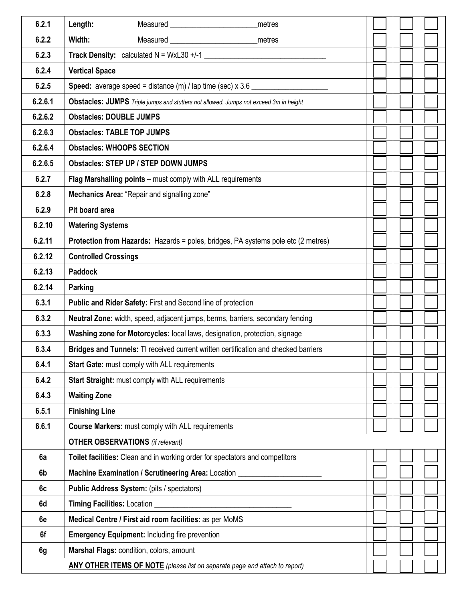| 6.2.1   | Length:<br>metres                                                                                                                        |  |
|---------|------------------------------------------------------------------------------------------------------------------------------------------|--|
| 6.2.2   | Width:<br>metres                                                                                                                         |  |
| 6.2.3   | Track Density: calculated $N = WxL30 + (-1)$                                                                                             |  |
| 6.2.4   | <b>Vertical Space</b>                                                                                                                    |  |
| 6.2.5   | <b>Speed:</b> average speed = distance $(m)$ / lap time (sec) $x$ 3.6 $\_\_\_\_\_\_\_\_\_\_\_\_\_\_\_\_\_\_\_\_\_\_\_\_\_\_\_\_\_\_\_\_$ |  |
| 6.2.6.1 | Obstacles: JUMPS Triple jumps and stutters not allowed. Jumps not exceed 3m in height                                                    |  |
| 6.2.6.2 | <b>Obstacles: DOUBLE JUMPS</b>                                                                                                           |  |
| 6.2.6.3 | <b>Obstacles: TABLE TOP JUMPS</b>                                                                                                        |  |
| 6.2.6.4 | <b>Obstacles: WHOOPS SECTION</b>                                                                                                         |  |
| 6.2.6.5 | <b>Obstacles: STEP UP / STEP DOWN JUMPS</b>                                                                                              |  |
| 6.2.7   | Flag Marshalling points - must comply with ALL requirements                                                                              |  |
| 6.2.8   | Mechanics Area: "Repair and signalling zone"                                                                                             |  |
| 6.2.9   | Pit board area                                                                                                                           |  |
| 6.2.10  | <b>Watering Systems</b>                                                                                                                  |  |
| 6.2.11  | Protection from Hazards: Hazards = poles, bridges, PA systems pole etc (2 metres)                                                        |  |
| 6.2.12  | <b>Controlled Crossings</b>                                                                                                              |  |
| 6.2.13  | <b>Paddock</b>                                                                                                                           |  |
| 6.2.14  | Parking                                                                                                                                  |  |
| 6.3.1   | Public and Rider Safety: First and Second line of protection                                                                             |  |
| 6.3.2   | Neutral Zone: width, speed, adjacent jumps, berms, barriers, secondary fencing                                                           |  |
| 6.3.3   | Washing zone for Motorcycles: local laws, designation, protection, signage                                                               |  |
| 6.3.4   | Bridges and Tunnels: TI received current written certification and checked barriers                                                      |  |
| 6.4.1   | Start Gate: must comply with ALL requirements                                                                                            |  |
| 6.4.2   | Start Straight: must comply with ALL requirements                                                                                        |  |
| 6.4.3   | <b>Waiting Zone</b>                                                                                                                      |  |
| 6.5.1   | <b>Finishing Line</b>                                                                                                                    |  |
| 6.6.1   | Course Markers: must comply with ALL requirements                                                                                        |  |
|         | <b>OTHER OBSERVATIONS</b> (if relevant)                                                                                                  |  |
| 6a      | Toilet facilities: Clean and in working order for spectators and competitors                                                             |  |
| 6b      | Machine Examination / Scrutineering Area: Location ____                                                                                  |  |
| 6c      | Public Address System: (pits / spectators)                                                                                               |  |
| 6d      | Timing Facilities: Location                                                                                                              |  |
| 6e      | Medical Centre / First aid room facilities: as per MoMS                                                                                  |  |
| 6f      | <b>Emergency Equipment: Including fire prevention</b>                                                                                    |  |
| 6g      | Marshal Flags: condition, colors, amount                                                                                                 |  |
|         | <b>ANY OTHER ITEMS OF NOTE</b> (please list on separate page and attach to report)                                                       |  |